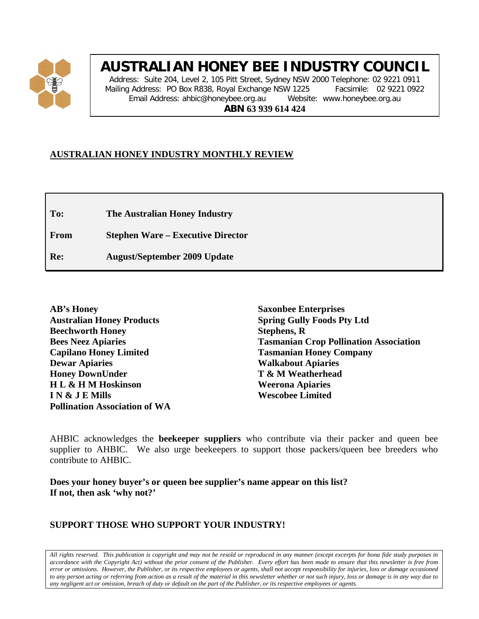

# **AUSTRALIAN HONEY BEE INDUSTRY COUNCIL**

Address: Suite 204, Level 2, 105 Pitt Street, Sydney NSW 2000 Telephone: 02 9221 0911 Mailing Address: PO Box R838, Royal Exchange NSW 1225 Facsimile: 02 9221 0922 Email Address: ahbic@honeybee.org.au Website: www.honeybee.org.au **ABN 63 939 614 424**

# **AUSTRALIAN HONEY INDUSTRY MONTHLY REVIEW**

**To: The Australian Honey Industry**

**From Stephen Ware – Executive Director**

**Re: August/September 2009 Update**

**AB's Honey Australian Honey Products Beechworth Honey Bees Neez Apiaries Capilano Honey Limited Dewar Apiaries Honey DownUnder H L & H M Hoskinson I N & J E Mills Pollination Association of WA**

**Saxonbee Enterprises Spring Gully Foods Pty Ltd Stephens, R Tasmanian Crop Pollination Association Tasmanian Honey Company Walkabout Apiaries T & M Weatherhead Weerona Apiaries Wescobee Limited**

AHBIC acknowledges the **beekeeper suppliers** who contribute via their packer and queen bee supplier to AHBIC. We also urge beekeepers to support those packers/queen bee breeders who contribute to AHBIC.

**Does your honey buyer's or queen bee supplier's name appear on this list? If not, then ask 'why not?'**

# **SUPPORT THOSE WHO SUPPORT YOUR INDUSTRY!**

*All rights reserved. This publication is copyright and may not be resold or reproduced in any manner (except excerpts for bona fide study purposes in accordance with the Copyright Act) without the prior consent of the Publisher. Every effort has been made to ensure that this newsletter is free from error or omissions. However, the Publisher, or its respective employees or agents, shall not accept responsibility for injuries, loss or damage occasioned to any person acting or referring from action as a result of the material in this newsletter whether or not such injury, loss or damage is in any way due to any negligent act or omission, breach of duty or default on the part of the Publisher, or its respective employees or agents.*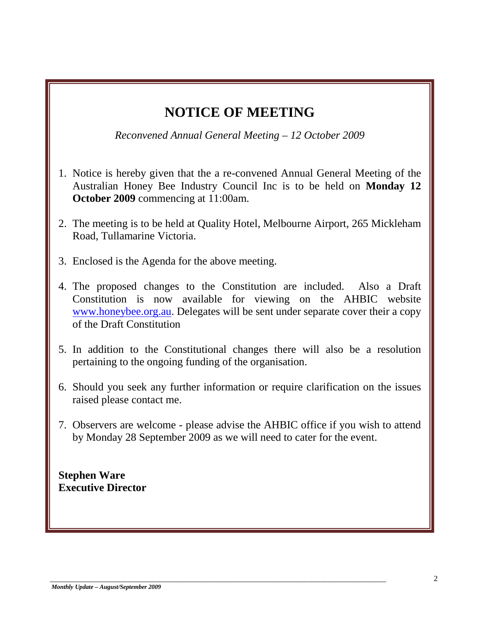# **NOTICE OF MEETING**

*Reconvened Annual General Meeting – 12 October 2009*

- 1. Notice is hereby given that the a re-convened Annual General Meeting of the Australian Honey Bee Industry Council Inc is to be held on **Monday 12 October 2009** commencing at 11:00am.
- 2. The meeting is to be held at Quality Hotel, Melbourne Airport, 265 Mickleham Road, Tullamarine Victoria.
- 3. Enclosed is the Agenda for the above meeting.
- 4. The proposed changes to the Constitution are included. Also a Draft Constitution is now available for viewing on the AHBIC website [www.honeybee.org.au.](http://www.honeybee.org.au/) Delegates will be sent under separate cover their a copy of the Draft Constitution
- 5. In addition to the Constitutional changes there will also be a resolution pertaining to the ongoing funding of the organisation.
- 6. Should you seek any further information or require clarification on the issues raised please contact me.
- 7. Observers are welcome please advise the AHBIC office if you wish to attend by Monday 28 September 2009 as we will need to cater for the event.

\_\_\_\_\_\_\_\_\_\_\_\_\_\_\_\_\_\_\_\_\_\_\_\_\_\_\_\_\_\_\_\_\_\_\_\_\_\_\_\_\_\_\_\_\_\_\_\_\_\_\_\_\_\_\_\_\_\_\_\_\_\_\_\_\_\_\_\_\_\_\_\_\_\_\_\_\_\_\_\_\_\_\_\_\_\_

**Stephen Ware Executive Director**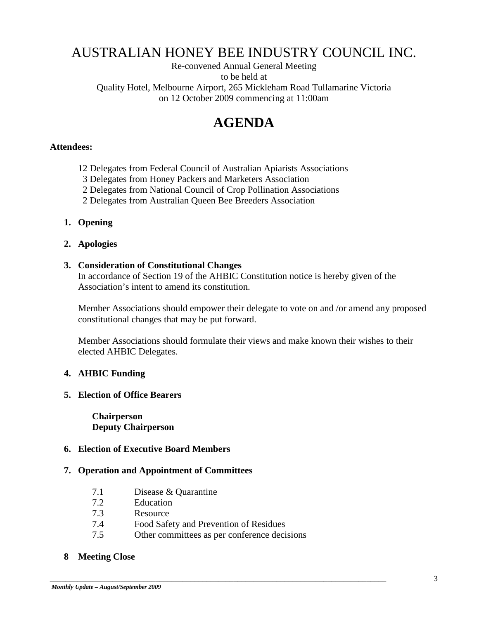# AUSTRALIAN HONEY BEE INDUSTRY COUNCIL INC.

Re-convened Annual General Meeting to be held at Quality Hotel, Melbourne Airport, 265 Mickleham Road Tullamarine Victoria on 12 October 2009 commencing at 11:00am

# **AGENDA**

#### **Attendees:**

- 12 Delegates from Federal Council of Australian Apiarists Associations
- 3 Delegates from Honey Packers and Marketers Association
- 2 Delegates from National Council of Crop Pollination Associations
- 2 Delegates from Australian Queen Bee Breeders Association

#### **1. Opening**

**2. Apologies**

#### **3. Consideration of Constitutional Changes**

In accordance of Section 19 of the AHBIC Constitution notice is hereby given of the Association's intent to amend its constitution.

Member Associations should empower their delegate to vote on and /or amend any proposed constitutional changes that may be put forward.

Member Associations should formulate their views and make known their wishes to their elected AHBIC Delegates.

#### **4. AHBIC Funding**

#### **5. Election of Office Bearers**

**Chairperson Deputy Chairperson**

## **6. Election of Executive Board Members**

#### **7. Operation and Appointment of Committees**

- 7.1 Disease & Quarantine
- 7.2 Education
- 7.3 Resource
- 7.4 Food Safety and Prevention of Residues
- 7.5 Other committees as per conference decisions

\_\_\_\_\_\_\_\_\_\_\_\_\_\_\_\_\_\_\_\_\_\_\_\_\_\_\_\_\_\_\_\_\_\_\_\_\_\_\_\_\_\_\_\_\_\_\_\_\_\_\_\_\_\_\_\_\_\_\_\_\_\_\_\_\_\_\_\_\_\_\_\_\_\_\_\_\_\_\_\_\_\_\_\_\_\_

#### **8 Meeting Close**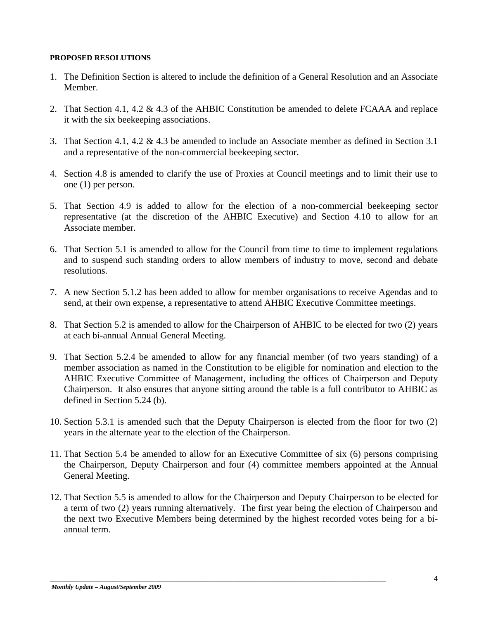#### **PROPOSED RESOLUTIONS**

- 1. The Definition Section is altered to include the definition of a General Resolution and an Associate Member.
- 2. That Section 4.1, 4.2 & 4.3 of the AHBIC Constitution be amended to delete FCAAA and replace it with the six beekeeping associations.
- 3. That Section 4.1, 4.2 & 4.3 be amended to include an Associate member as defined in Section 3.1 and a representative of the non-commercial beekeeping sector.
- 4. Section 4.8 is amended to clarify the use of Proxies at Council meetings and to limit their use to one (1) per person.
- 5. That Section 4.9 is added to allow for the election of a non-commercial beekeeping sector representative (at the discretion of the AHBIC Executive) and Section 4.10 to allow for an Associate member.
- 6. That Section 5.1 is amended to allow for the Council from time to time to implement regulations and to suspend such standing orders to allow members of industry to move, second and debate resolutions.
- 7. A new Section 5.1.2 has been added to allow for member organisations to receive Agendas and to send, at their own expense, a representative to attend AHBIC Executive Committee meetings.
- 8. That Section 5.2 is amended to allow for the Chairperson of AHBIC to be elected for two (2) years at each bi-annual Annual General Meeting.
- 9. That Section 5.2.4 be amended to allow for any financial member (of two years standing) of a member association as named in the Constitution to be eligible for nomination and election to the AHBIC Executive Committee of Management, including the offices of Chairperson and Deputy Chairperson. It also ensures that anyone sitting around the table is a full contributor to AHBIC as defined in Section 5.24 (b).
- 10. Section 5.3.1 is amended such that the Deputy Chairperson is elected from the floor for two (2) years in the alternate year to the election of the Chairperson.
- 11. That Section 5.4 be amended to allow for an Executive Committee of six (6) persons comprising the Chairperson, Deputy Chairperson and four (4) committee members appointed at the Annual General Meeting.
- 12. That Section 5.5 is amended to allow for the Chairperson and Deputy Chairperson to be elected for a term of two (2) years running alternatively. The first year being the election of Chairperson and the next two Executive Members being determined by the highest recorded votes being for a biannual term.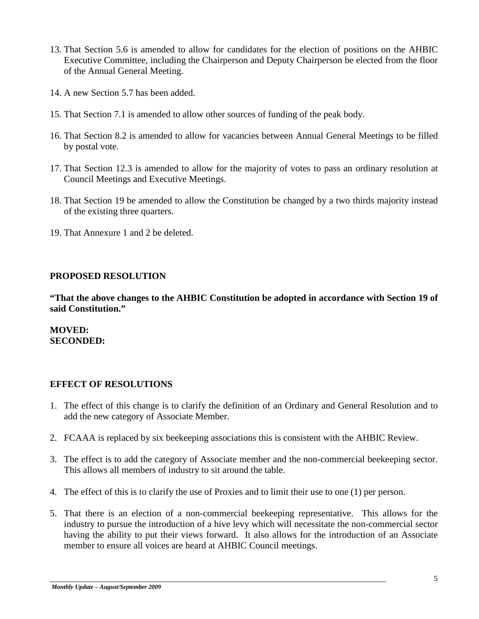- 13. That Section 5.6 is amended to allow for candidates for the election of positions on the AHBIC Executive Committee, including the Chairperson and Deputy Chairperson be elected from the floor of the Annual General Meeting.
- 14. A new Section 5.7 has been added.
- 15. That Section 7.1 is amended to allow other sources of funding of the peak body.
- 16. That Section 8.2 is amended to allow for vacancies between Annual General Meetings to be filled by postal vote.
- 17. That Section 12.3 is amended to allow for the majority of votes to pass an ordinary resolution at Council Meetings and Executive Meetings.
- 18. That Section 19 be amended to allow the Constitution be changed by a two thirds majority instead of the existing three quarters.
- 19. That Annexure 1 and 2 be deleted.

## **PROPOSED RESOLUTION**

**"That the above changes to the AHBIC Constitution be adopted in accordance with Section 19 of said Constitution."**

## **MOVED: SECONDED:**

# **EFFECT OF RESOLUTIONS**

- 1. The effect of this change is to clarify the definition of an Ordinary and General Resolution and to add the new category of Associate Member.
- 2. FCAAA is replaced by six beekeeping associations this is consistent with the AHBIC Review.
- 3. The effect is to add the category of Associate member and the non-commercial beekeeping sector. This allows all members of industry to sit around the table.
- 4. The effect of this is to clarify the use of Proxies and to limit their use to one (1) per person.

\_\_\_\_\_\_\_\_\_\_\_\_\_\_\_\_\_\_\_\_\_\_\_\_\_\_\_\_\_\_\_\_\_\_\_\_\_\_\_\_\_\_\_\_\_\_\_\_\_\_\_\_\_\_\_\_\_\_\_\_\_\_\_\_\_\_\_\_\_\_\_\_\_\_\_\_\_\_\_\_\_\_\_\_\_\_

5. That there is an election of a non-commercial beekeeping representative. This allows for the industry to pursue the introduction of a hive levy which will necessitate the non-commercial sector having the ability to put their views forward. It also allows for the introduction of an Associate member to ensure all voices are heard at AHBIC Council meetings.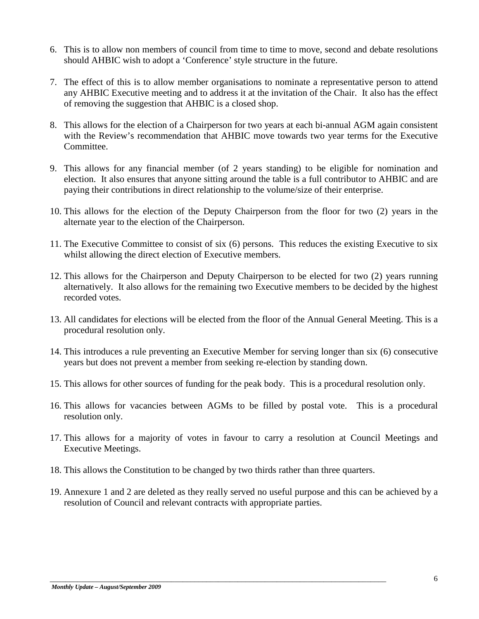- 6. This is to allow non members of council from time to time to move, second and debate resolutions should AHBIC wish to adopt a 'Conference' style structure in the future.
- 7. The effect of this is to allow member organisations to nominate a representative person to attend any AHBIC Executive meeting and to address it at the invitation of the Chair. It also has the effect of removing the suggestion that AHBIC is a closed shop.
- 8. This allows for the election of a Chairperson for two years at each bi-annual AGM again consistent with the Review's recommendation that AHBIC move towards two year terms for the Executive Committee.
- 9. This allows for any financial member (of 2 years standing) to be eligible for nomination and election. It also ensures that anyone sitting around the table is a full contributor to AHBIC and are paying their contributions in direct relationship to the volume/size of their enterprise.
- 10. This allows for the election of the Deputy Chairperson from the floor for two (2) years in the alternate year to the election of the Chairperson.
- 11. The Executive Committee to consist of six (6) persons. This reduces the existing Executive to six whilst allowing the direct election of Executive members.
- 12. This allows for the Chairperson and Deputy Chairperson to be elected for two (2) years running alternatively. It also allows for the remaining two Executive members to be decided by the highest recorded votes.
- 13. All candidates for elections will be elected from the floor of the Annual General Meeting. This is a procedural resolution only.
- 14. This introduces a rule preventing an Executive Member for serving longer than six (6) consecutive years but does not prevent a member from seeking re-election by standing down.
- 15. This allows for other sources of funding for the peak body. This is a procedural resolution only.
- 16. This allows for vacancies between AGMs to be filled by postal vote. This is a procedural resolution only.
- 17. This allows for a majority of votes in favour to carry a resolution at Council Meetings and Executive Meetings.
- 18. This allows the Constitution to be changed by two thirds rather than three quarters.

\_\_\_\_\_\_\_\_\_\_\_\_\_\_\_\_\_\_\_\_\_\_\_\_\_\_\_\_\_\_\_\_\_\_\_\_\_\_\_\_\_\_\_\_\_\_\_\_\_\_\_\_\_\_\_\_\_\_\_\_\_\_\_\_\_\_\_\_\_\_\_\_\_\_\_\_\_\_\_\_\_\_\_\_\_\_

19. Annexure 1 and 2 are deleted as they really served no useful purpose and this can be achieved by a resolution of Council and relevant contracts with appropriate parties.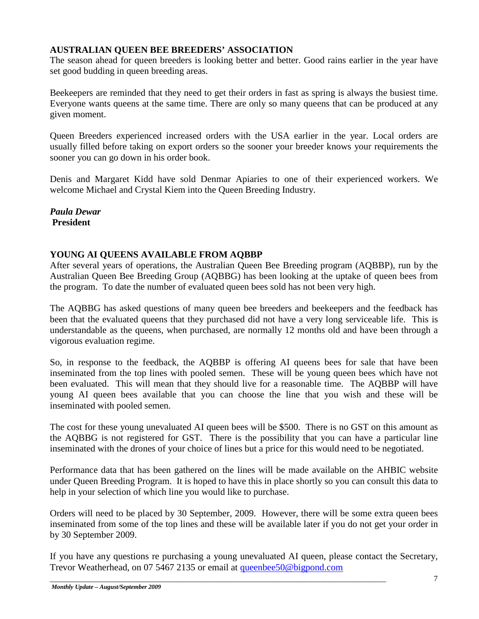# **AUSTRALIAN QUEEN BEE BREEDERS' ASSOCIATION**

The season ahead for queen breeders is looking better and better. Good rains earlier in the year have set good budding in queen breeding areas.

Beekeepers are reminded that they need to get their orders in fast as spring is always the busiest time. Everyone wants queens at the same time. There are only so many queens that can be produced at any given moment.

Queen Breeders experienced increased orders with the USA earlier in the year. Local orders are usually filled before taking on export orders so the sooner your breeder knows your requirements the sooner you can go down in his order book.

Denis and Margaret Kidd have sold Denmar Apiaries to one of their experienced workers. We welcome Michael and Crystal Kiem into the Queen Breeding Industry.

*Paula Dewar* **President**

# **YOUNG AI QUEENS AVAILABLE FROM AQBBP**

After several years of operations, the Australian Queen Bee Breeding program (AQBBP), run by the Australian Queen Bee Breeding Group (AQBBG) has been looking at the uptake of queen bees from the program. To date the number of evaluated queen bees sold has not been very high.

The AQBBG has asked questions of many queen bee breeders and beekeepers and the feedback has been that the evaluated queens that they purchased did not have a very long serviceable life. This is understandable as the queens, when purchased, are normally 12 months old and have been through a vigorous evaluation regime.

So, in response to the feedback, the AQBBP is offering AI queens bees for sale that have been inseminated from the top lines with pooled semen. These will be young queen bees which have not been evaluated. This will mean that they should live for a reasonable time. The AQBBP will have young AI queen bees available that you can choose the line that you wish and these will be inseminated with pooled semen.

The cost for these young unevaluated AI queen bees will be \$500. There is no GST on this amount as the AQBBG is not registered for GST. There is the possibility that you can have a particular line inseminated with the drones of your choice of lines but a price for this would need to be negotiated.

Performance data that has been gathered on the lines will be made available on the AHBIC website under Queen Breeding Program. It is hoped to have this in place shortly so you can consult this data to help in your selection of which line you would like to purchase.

Orders will need to be placed by 30 September, 2009. However, there will be some extra queen bees inseminated from some of the top lines and these will be available later if you do not get your order in by 30 September 2009.

If you have any questions re purchasing a young unevaluated AI queen, please contact the Secretary, Trevor Weatherhead, on 07 5467 2135 or email at [queenbee50@bigpond.com](mailto:queenbee50@bigpond.com)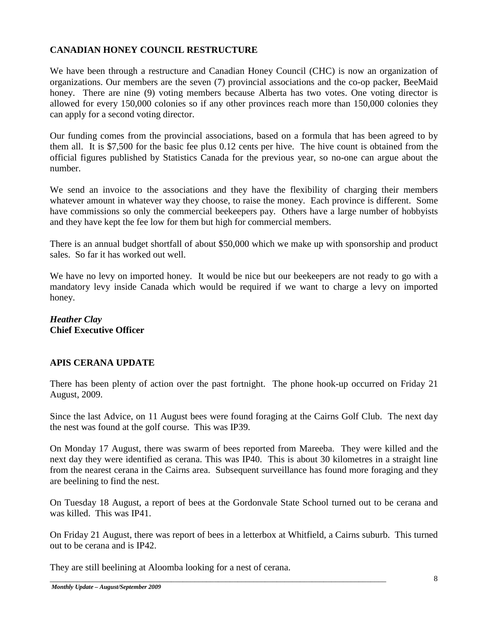# **CANADIAN HONEY COUNCIL RESTRUCTURE**

We have been through a restructure and Canadian Honey Council (CHC) is now an organization of organizations. Our members are the seven (7) provincial associations and the co-op packer, BeeMaid honey. There are nine (9) voting members because Alberta has two votes. One voting director is allowed for every 150,000 colonies so if any other provinces reach more than 150,000 colonies they can apply for a second voting director.

Our funding comes from the provincial associations, based on a formula that has been agreed to by them all. It is \$7,500 for the basic fee plus 0.12 cents per hive. The hive count is obtained from the official figures published by Statistics Canada for the previous year, so no-one can argue about the number.

We send an invoice to the associations and they have the flexibility of charging their members whatever amount in whatever way they choose, to raise the money. Each province is different. Some have commissions so only the commercial beekeepers pay. Others have a large number of hobbyists and they have kept the fee low for them but high for commercial members.

There is an annual budget shortfall of about \$50,000 which we make up with sponsorship and product sales. So far it has worked out well.

We have no levy on imported honey. It would be nice but our beekeepers are not ready to go with a mandatory levy inside Canada which would be required if we want to charge a levy on imported honey.

# *Heather Clay* **Chief Executive Officer**

# **APIS CERANA UPDATE**

There has been plenty of action over the past fortnight. The phone hook-up occurred on Friday 21 August, 2009.

Since the last Advice, on 11 August bees were found foraging at the Cairns Golf Club. The next day the nest was found at the golf course. This was IP39.

On Monday 17 August, there was swarm of bees reported from Mareeba. They were killed and the next day they were identified as cerana. This was IP40. This is about 30 kilometres in a straight line from the nearest cerana in the Cairns area. Subsequent surveillance has found more foraging and they are beelining to find the nest.

On Tuesday 18 August, a report of bees at the Gordonvale State School turned out to be cerana and was killed. This was IP41.

On Friday 21 August, there was report of bees in a letterbox at Whitfield, a Cairns suburb. This turned out to be cerana and is IP42.

\_\_\_\_\_\_\_\_\_\_\_\_\_\_\_\_\_\_\_\_\_\_\_\_\_\_\_\_\_\_\_\_\_\_\_\_\_\_\_\_\_\_\_\_\_\_\_\_\_\_\_\_\_\_\_\_\_\_\_\_\_\_\_\_\_\_\_\_\_\_\_\_\_\_\_\_\_\_\_\_\_\_\_\_\_\_

They are still beelining at Aloomba looking for a nest of cerana.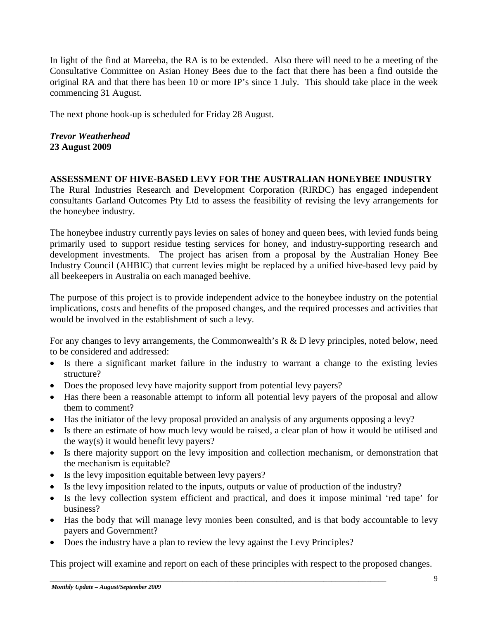In light of the find at Mareeba, the RA is to be extended. Also there will need to be a meeting of the Consultative Committee on Asian Honey Bees due to the fact that there has been a find outside the original RA and that there has been 10 or more IP's since 1 July. This should take place in the week commencing 31 August.

The next phone hook-up is scheduled for Friday 28 August.

*Trevor Weatherhead* **23 August 2009**

## **ASSESSMENT OF HIVE-BASED LEVY FOR THE AUSTRALIAN HONEYBEE INDUSTRY**

The Rural Industries Research and Development Corporation (RIRDC) has engaged independent consultants Garland Outcomes Pty Ltd to assess the feasibility of revising the levy arrangements for the honeybee industry.

The honeybee industry currently pays levies on sales of honey and queen bees, with levied funds being primarily used to support residue testing services for honey, and industry-supporting research and development investments. The project has arisen from a proposal by the Australian Honey Bee Industry Council (AHBIC) that current levies might be replaced by a unified hive-based levy paid by all beekeepers in Australia on each managed beehive.

The purpose of this project is to provide independent advice to the honeybee industry on the potential implications, costs and benefits of the proposed changes, and the required processes and activities that would be involved in the establishment of such a levy.

For any changes to levy arrangements, the Commonwealth's R & D levy principles, noted below, need to be considered and addressed:

- Is there a significant market failure in the industry to warrant a change to the existing levies structure?
- Does the proposed levy have majority support from potential levy payers?
- Has there been a reasonable attempt to inform all potential levy payers of the proposal and allow them to comment?
- Has the initiator of the levy proposal provided an analysis of any arguments opposing a levy?
- Is there an estimate of how much levy would be raised, a clear plan of how it would be utilised and the way(s) it would benefit levy payers?
- Is there majority support on the levy imposition and collection mechanism, or demonstration that the mechanism is equitable?
- Is the levy imposition equitable between levy payers?
- Is the levy imposition related to the inputs, outputs or value of production of the industry?
- Is the levy collection system efficient and practical, and does it impose minimal 'red tape' for business?
- Has the body that will manage levy monies been consulted, and is that body accountable to levy payers and Government?
- Does the industry have a plan to review the levy against the Levy Principles?

\_\_\_\_\_\_\_\_\_\_\_\_\_\_\_\_\_\_\_\_\_\_\_\_\_\_\_\_\_\_\_\_\_\_\_\_\_\_\_\_\_\_\_\_\_\_\_\_\_\_\_\_\_\_\_\_\_\_\_\_\_\_\_\_\_\_\_\_\_\_\_\_\_\_\_\_\_\_\_\_\_\_\_\_\_\_

This project will examine and report on each of these principles with respect to the proposed changes.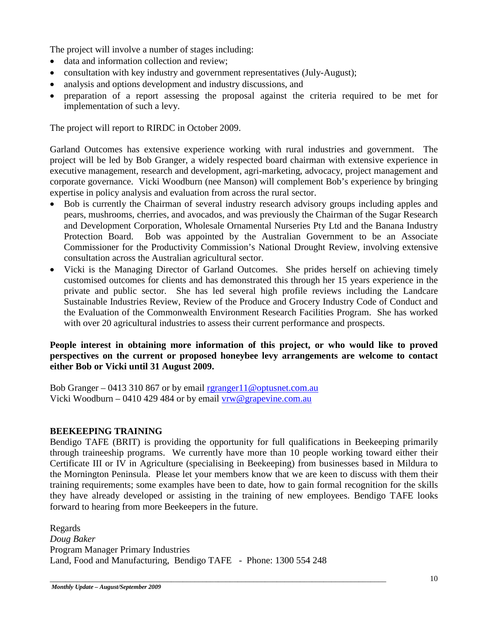The project will involve a number of stages including:

- data and information collection and review:
- consultation with key industry and government representatives (July-August);
- analysis and options development and industry discussions, and
- preparation of a report assessing the proposal against the criteria required to be met for implementation of such a levy.

The project will report to RIRDC in October 2009.

Garland Outcomes has extensive experience working with rural industries and government. The project will be led by Bob Granger, a widely respected board chairman with extensive experience in executive management, research and development, agri-marketing, advocacy, project management and corporate governance. Vicki Woodburn (nee Manson) will complement Bob's experience by bringing expertise in policy analysis and evaluation from across the rural sector.

- Bob is currently the Chairman of several industry research advisory groups including apples and pears, mushrooms, cherries, and avocados, and was previously the Chairman of the Sugar Research and Development Corporation, Wholesale Ornamental Nurseries Pty Ltd and the Banana Industry Protection Board. Bob was appointed by the Australian Government to be an Associate Commissioner for the Productivity Commission's National Drought Review, involving extensive consultation across the Australian agricultural sector.
- Vicki is the Managing Director of Garland Outcomes. She prides herself on achieving timely customised outcomes for clients and has demonstrated this through her 15 years experience in the private and public sector. She has led several high profile reviews including the Landcare Sustainable Industries Review, Review of the Produce and Grocery Industry Code of Conduct and the Evaluation of the Commonwealth Environment Research Facilities Program. She has worked with over 20 agricultural industries to assess their current performance and prospects.

## **People interest in obtaining more information of this project, or who would like to proved perspectives on the current or proposed honeybee levy arrangements are welcome to contact either Bob or Vicki until 31 August 2009.**

Bob Granger – 0413 310 867 or by email [rgranger11@optusnet.com.au](mailto:rgranger11@optusnet.com.au) Vicki Woodburn – 0410 429 484 or by email  $vrw@$  grapevine.com.au

# **BEEKEEPING TRAINING**

Bendigo TAFE (BRIT) is providing the opportunity for full qualifications in Beekeeping primarily through traineeship programs. We currently have more than 10 people working toward either their Certificate III or IV in Agriculture (specialising in Beekeeping) from businesses based in Mildura to the Mornington Peninsula. Please let your members know that we are keen to discuss with them their training requirements; some examples have been to date, how to gain formal recognition for the skills they have already developed or assisting in the training of new employees. Bendigo TAFE looks forward to hearing from more Beekeepers in the future.

Regards *Doug Baker* Program Manager Primary Industries Land, Food and Manufacturing, Bendigo TAFE - Phone: 1300 554 248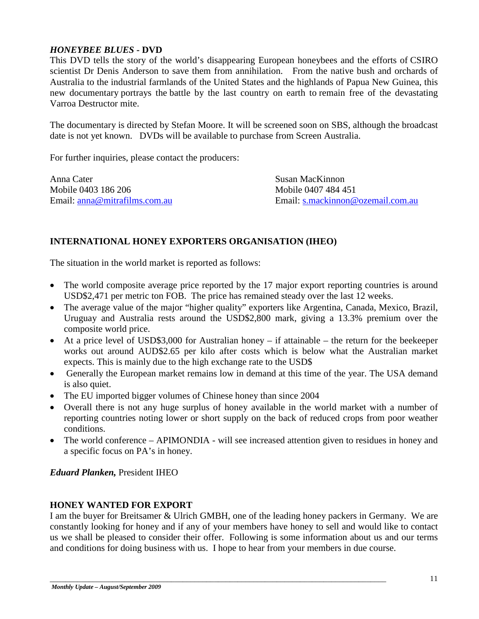# *HONEYBEE BLUES* **- DVD**

This DVD tells the story of the world's disappearing European honeybees and the efforts of CSIRO scientist Dr Denis Anderson to save them from annihilation. From the native bush and orchards of Australia to the industrial farmlands of the United States and the highlands of Papua New Guinea, this new documentary portrays the battle by the last country on earth to remain free of the devastating Varroa Destructor mite.

The documentary is directed by Stefan Moore. It will be screened soon on SBS, although the broadcast date is not yet known. DVDs will be available to purchase from Screen Australia.

For further inquiries, please contact the producers:

Anna Cater Susan MacKinnon Mobile 0403 186 206 Mobile 0407 484 451

Email: [anna@mitrafilms.com.au](mailto:anna@mitrafilms.com.au) Email: [s.mackinnon@ozemail.com.au](mailto:s.mackinnon@ozemail.com.au)

# **INTERNATIONAL HONEY EXPORTERS ORGANISATION (IHEO)**

The situation in the world market is reported as follows:

- The world composite average price reported by the 17 major export reporting countries is around USD\$2,471 per metric ton FOB. The price has remained steady over the last 12 weeks.
- The average value of the major "higher quality" exporters like Argentina, Canada, Mexico, Brazil, Uruguay and Australia rests around the USD\$2,800 mark, giving a 13.3% premium over the composite world price.
- At a price level of USD\$3,000 for Australian honey if attainable the return for the beekeeper works out around AUD\$2.65 per kilo after costs which is below what the Australian market expects. This is mainly due to the high exchange rate to the USD\$
- Generally the European market remains low in demand at this time of the year. The USA demand is also quiet.
- The EU imported bigger volumes of Chinese honey than since 2004
- Overall there is not any huge surplus of honey available in the world market with a number of reporting countries noting lower or short supply on the back of reduced crops from poor weather conditions.
- The world conference APIMONDIA will see increased attention given to residues in honey and a specific focus on PA's in honey.

*Eduard Planken,* President IHEO

# **HONEY WANTED FOR EXPORT**

I am the buyer for Breitsamer & Ulrich GMBH, one of the leading honey packers in Germany. We are constantly looking for honey and if any of your members have honey to sell and would like to contact us we shall be pleased to consider their offer. Following is some information about us and our terms and conditions for doing business with us. I hope to hear from your members in due course.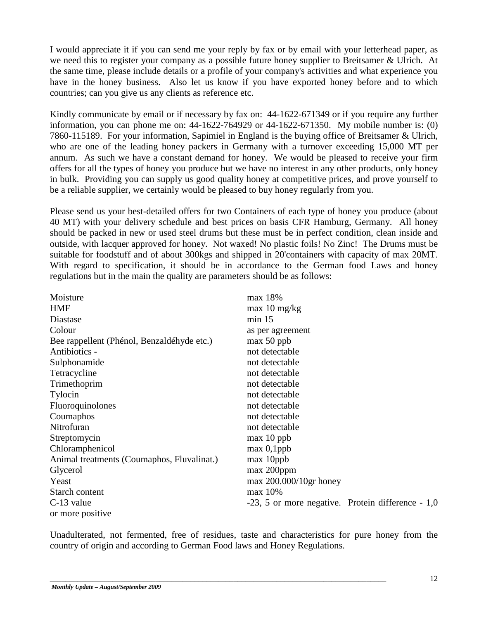I would appreciate it if you can send me your reply by fax or by email with your letterhead paper, as we need this to register your company as a possible future honey supplier to Breitsamer & Ulrich. At the same time, please include details or a profile of your company's activities and what experience you have in the honey business. Also let us know if you have exported honey before and to which countries; can you give us any clients as reference etc.

Kindly communicate by email or if necessary by fax on: 44-1622-671349 or if you require any further information, you can phone me on: 44-1622-764929 or 44-1622-671350. My mobile number is: (0) 7860-115189. For your information, Sapimiel in England is the buying office of Breitsamer & Ulrich, who are one of the leading honey packers in Germany with a turnover exceeding 15,000 MT per annum. As such we have a constant demand for honey. We would be pleased to receive your firm offers for all the types of honey you produce but we have no interest in any other products, only honey in bulk. Providing you can supply us good quality honey at competitive prices, and prove yourself to be a reliable supplier, we certainly would be pleased to buy honey regularly from you.

Please send us your best-detailed offers for two Containers of each type of honey you produce (about 40 MT) with your delivery schedule and best prices on basis CFR Hamburg, Germany. All honey should be packed in new or used steel drums but these must be in perfect condition, clean inside and outside, with lacquer approved for honey. Not waxed! No plastic foils! No Zinc! The Drums must be suitable for foodstuff and of about 300kgs and shipped in 20'containers with capacity of max 20MT. With regard to specification, it should be in accordance to the German food Laws and honey regulations but in the main the quality are parameters should be as follows:

| Moisture                                   | max 18%                                               |
|--------------------------------------------|-------------------------------------------------------|
| <b>HMF</b>                                 | $max$ 10 mg/kg                                        |
| Diastase                                   | $min$ 15                                              |
| Colour                                     | as per agreement                                      |
| Bee rappellent (Phénol, Benzaldéhyde etc.) | $max 50$ ppb                                          |
| Antibiotics -                              | not detectable                                        |
| Sulphonamide                               | not detectable                                        |
| Tetracycline                               | not detectable                                        |
| Trimethoprim                               | not detectable                                        |
| Tylocin                                    | not detectable                                        |
| Fluoroquinolones                           | not detectable                                        |
| Coumaphos                                  | not detectable                                        |
| Nitrofuran                                 | not detectable                                        |
| Streptomycin                               | $max 10$ ppb                                          |
| Chloramphenicol                            | $max\ 0,1$ ppb                                        |
| Animal treatments (Coumaphos, Fluvalinat.) | max 10ppb                                             |
| Glycerol                                   | max 200ppm                                            |
| Yeast                                      | $max$ 200.000/10gr honey                              |
| Starch content                             | max 10%                                               |
| C-13 value                                 | $-23$ , 5 or more negative. Protein difference $-1,0$ |
| or more positive                           |                                                       |

Unadulterated, not fermented, free of residues, taste and characteristics for pure honey from the country of origin and according to German Food laws and Honey Regulations.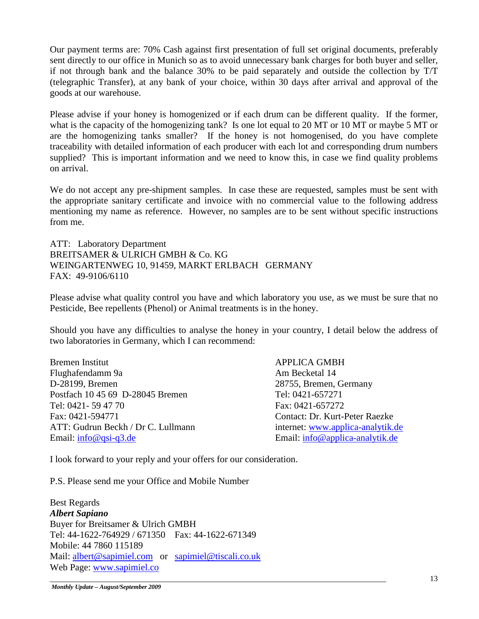Our payment terms are: 70% Cash against first presentation of full set original documents, preferably sent directly to our office in Munich so as to avoid unnecessary bank charges for both buyer and seller, if not through bank and the balance 30% to be paid separately and outside the collection by T/T (telegraphic Transfer), at any bank of your choice, within 30 days after arrival and approval of the goods at our warehouse.

Please advise if your honey is homogenized or if each drum can be different quality. If the former, what is the capacity of the homogenizing tank? Is one lot equal to 20 MT or 10 MT or maybe 5 MT or are the homogenizing tanks smaller? If the honey is not homogenised, do you have complete traceability with detailed information of each producer with each lot and corresponding drum numbers supplied? This is important information and we need to know this, in case we find quality problems on arrival.

We do not accept any pre-shipment samples. In case these are requested, samples must be sent with the appropriate sanitary certificate and invoice with no commercial value to the following address mentioning my name as reference. However, no samples are to be sent without specific instructions from me.

ATT: Laboratory Department BREITSAMER & ULRICH GMBH & Co. KG WEINGARTENWEG 10, 91459, MARKT ERLBACH GERMANY FAX: 49-9106/6110

Please advise what quality control you have and which laboratory you use, as we must be sure that no Pesticide, Bee repellents (Phenol) or Animal treatments is in the honey.

Should you have any difficulties to analyse the honey in your country, I detail below the address of two laboratories in Germany, which I can recommend:

Bremen Institut APPLICA GMBH Flughafendamm 9a **Am Becketal** 14 D-28199, Bremen 28755, Bremen, Germany Postfach 10 45 69 D-28045 Bremen Tel: 0421-657271 Tel: 0421- 59 47 70 Fax: 0421-657272 Fax: 0421-594771 Contact: Dr. Kurt-Peter Raezke ATT: Gudrun Beckh / Dr C. Lullmann internet: [www.applica-analytik.de](http://www.applica-analytik.de/) Email: [info@qsi-q3.de](mailto:info@qsi-q3.de) Email: [info@applica-analytik.de](mailto:info@applica-analytik.de)

I look forward to your reply and your offers for our consideration.

\_\_\_\_\_\_\_\_\_\_\_\_\_\_\_\_\_\_\_\_\_\_\_\_\_\_\_\_\_\_\_\_\_\_\_\_\_\_\_\_\_\_\_\_\_\_\_\_\_\_\_\_\_\_\_\_\_\_\_\_\_\_\_\_\_\_\_\_\_\_\_\_\_\_\_\_\_\_\_\_\_\_\_\_\_\_

P.S. Please send me your Office and Mobile Number

Best Regards *Albert Sapiano* Buyer for Breitsamer & Ulrich GMBH Tel: 44-1622-764929 / 671350 Fax: 44-1622-671349 Mobile: 44 7860 115189 Mail: [albert@sapimiel.com](mailto:albert@sapimiel.com) or [sapimiel@tiscali.co.uk](mailto:sapimiel@tiscali.co.uk) Web Page: [www.sapimiel.co](http://www.sapimiel.co/)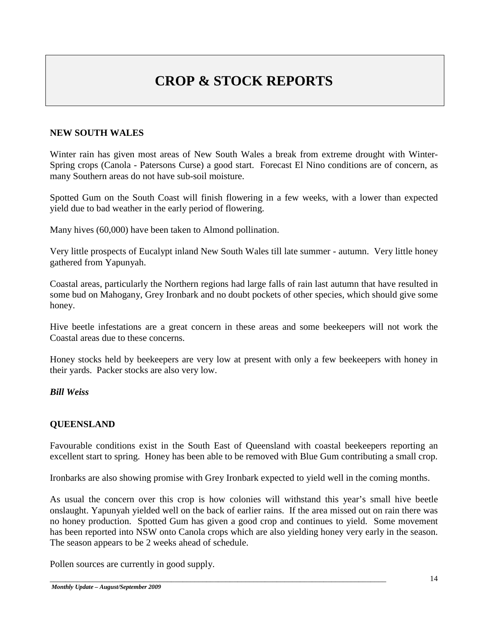# **CROP & STOCK REPORTS**

# **NEW SOUTH WALES**

Winter rain has given most areas of New South Wales a break from extreme drought with Winter-Spring crops (Canola - Patersons Curse) a good start. Forecast El Nino conditions are of concern, as many Southern areas do not have sub-soil moisture.

Spotted Gum on the South Coast will finish flowering in a few weeks, with a lower than expected yield due to bad weather in the early period of flowering.

Many hives (60,000) have been taken to Almond pollination.

Very little prospects of Eucalypt inland New South Wales till late summer - autumn. Very little honey gathered from Yapunyah.

Coastal areas, particularly the Northern regions had large falls of rain last autumn that have resulted in some bud on Mahogany, Grey Ironbark and no doubt pockets of other species, which should give some honey.

Hive beetle infestations are a great concern in these areas and some beekeepers will not work the Coastal areas due to these concerns.

Honey stocks held by beekeepers are very low at present with only a few beekeepers with honey in their yards. Packer stocks are also very low.

# *Bill Weiss*

# **QUEENSLAND**

Favourable conditions exist in the South East of Queensland with coastal beekeepers reporting an excellent start to spring. Honey has been able to be removed with Blue Gum contributing a small crop.

Ironbarks are also showing promise with Grey Ironbark expected to yield well in the coming months.

As usual the concern over this crop is how colonies will withstand this year's small hive beetle onslaught. Yapunyah yielded well on the back of earlier rains. If the area missed out on rain there was no honey production. Spotted Gum has given a good crop and continues to yield. Some movement has been reported into NSW onto Canola crops which are also yielding honey very early in the season. The season appears to be 2 weeks ahead of schedule.

\_\_\_\_\_\_\_\_\_\_\_\_\_\_\_\_\_\_\_\_\_\_\_\_\_\_\_\_\_\_\_\_\_\_\_\_\_\_\_\_\_\_\_\_\_\_\_\_\_\_\_\_\_\_\_\_\_\_\_\_\_\_\_\_\_\_\_\_\_\_\_\_\_\_\_\_\_\_\_\_\_\_\_\_\_\_

Pollen sources are currently in good supply.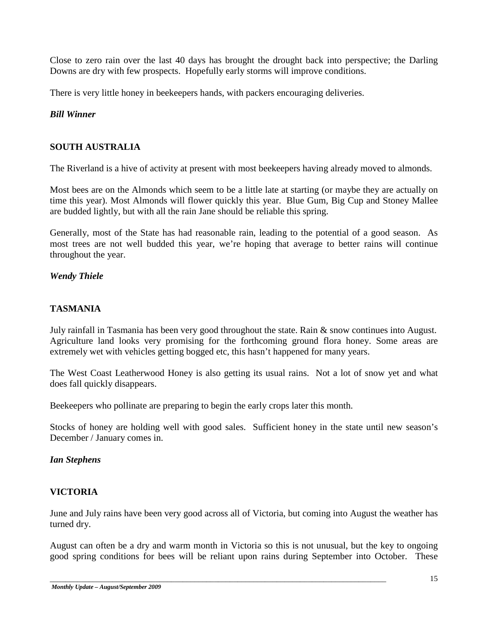Close to zero rain over the last 40 days has brought the drought back into perspective; the Darling Downs are dry with few prospects. Hopefully early storms will improve conditions.

There is very little honey in beekeepers hands, with packers encouraging deliveries.

# *Bill Winner*

# **SOUTH AUSTRALIA**

The Riverland is a hive of activity at present with most beekeepers having already moved to almonds.

Most bees are on the Almonds which seem to be a little late at starting (or maybe they are actually on time this year). Most Almonds will flower quickly this year. Blue Gum, Big Cup and Stoney Mallee are budded lightly, but with all the rain Jane should be reliable this spring.

Generally, most of the State has had reasonable rain, leading to the potential of a good season. As most trees are not well budded this year, we're hoping that average to better rains will continue throughout the year.

## *Wendy Thiele*

## **TASMANIA**

July rainfall in Tasmania has been very good throughout the state. Rain & snow continues into August. Agriculture land looks very promising for the forthcoming ground flora honey. Some areas are extremely wet with vehicles getting bogged etc, this hasn't happened for many years.

The West Coast Leatherwood Honey is also getting its usual rains. Not a lot of snow yet and what does fall quickly disappears.

Beekeepers who pollinate are preparing to begin the early crops later this month.

Stocks of honey are holding well with good sales. Sufficient honey in the state until new season's December / January comes in.

#### *Ian Stephens*

#### **VICTORIA**

June and July rains have been very good across all of Victoria, but coming into August the weather has turned dry.

August can often be a dry and warm month in Victoria so this is not unusual, but the key to ongoing good spring conditions for bees will be reliant upon rains during September into October. These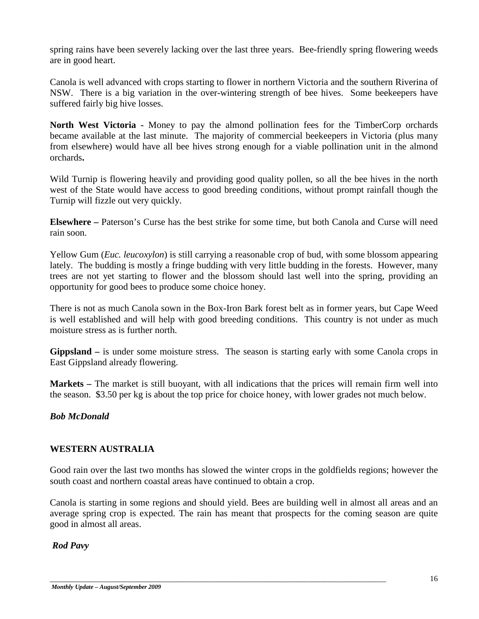spring rains have been severely lacking over the last three years. Bee-friendly spring flowering weeds are in good heart.

Canola is well advanced with crops starting to flower in northern Victoria and the southern Riverina of NSW. There is a big variation in the over-wintering strength of bee hives. Some beekeepers have suffered fairly big hive losses.

**North West Victoria -** Money to pay the almond pollination fees for the TimberCorp orchards became available at the last minute. The majority of commercial beekeepers in Victoria (plus many from elsewhere) would have all bee hives strong enough for a viable pollination unit in the almond orchards**.**

Wild Turnip is flowering heavily and providing good quality pollen, so all the bee hives in the north west of the State would have access to good breeding conditions, without prompt rainfall though the Turnip will fizzle out very quickly.

**Elsewhere –** Paterson's Curse has the best strike for some time, but both Canola and Curse will need rain soon.

Yellow Gum (*Euc. leucoxylon*) is still carrying a reasonable crop of bud, with some blossom appearing lately. The budding is mostly a fringe budding with very little budding in the forests. However, many trees are not yet starting to flower and the blossom should last well into the spring, providing an opportunity for good bees to produce some choice honey.

There is not as much Canola sown in the Box-Iron Bark forest belt as in former years, but Cape Weed is well established and will help with good breeding conditions. This country is not under as much moisture stress as is further north.

**Gippsland –** is under some moisture stress. The season is starting early with some Canola crops in East Gippsland already flowering.

**Markets –** The market is still buoyant, with all indications that the prices will remain firm well into the season. \$3.50 per kg is about the top price for choice honey, with lower grades not much below.

*Bob McDonald*

# **WESTERN AUSTRALIA**

Good rain over the last two months has slowed the winter crops in the goldfields regions; however the south coast and northern coastal areas have continued to obtain a crop.

Canola is starting in some regions and should yield. Bees are building well in almost all areas and an average spring crop is expected. The rain has meant that prospects for the coming season are quite good in almost all areas.

\_\_\_\_\_\_\_\_\_\_\_\_\_\_\_\_\_\_\_\_\_\_\_\_\_\_\_\_\_\_\_\_\_\_\_\_\_\_\_\_\_\_\_\_\_\_\_\_\_\_\_\_\_\_\_\_\_\_\_\_\_\_\_\_\_\_\_\_\_\_\_\_\_\_\_\_\_\_\_\_\_\_\_\_\_\_

*Rod Pavy*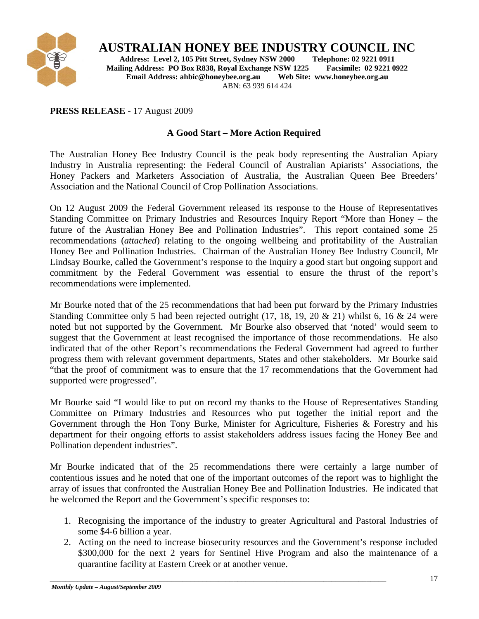

# **AUSTRALIAN HONEY BEE INDUSTRY COUNCIL INC**<br>Address: Level 2, 105 Pitt Street, Sydney NSW 2000 Telephone: 02 9221 0911

**Address: Level 2, 105 Pitt Street, Sydney NSW 2000 Telephone: 02 9221 0911 Mailing Address: PO Box R838, Royal Exchange NSW 1225 Facsimile: 02 9221 Email Address: ahbic@honeybee.org.au Web Site: www.honeybee.org.au Email Address: ahbic@honeybee.org.au** ABN: 63 939 614 424

# **PRESS RELEASE** - 17 August 2009

# **A Good Start – More Action Required**

The Australian Honey Bee Industry Council is the peak body representing the Australian Apiary Industry in Australia representing: the Federal Council of Australian Apiarists' Associations, the Honey Packers and Marketers Association of Australia, the Australian Queen Bee Breeders' Association and the National Council of Crop Pollination Associations.

On 12 August 2009 the Federal Government released its response to the House of Representatives Standing Committee on Primary Industries and Resources Inquiry Report "More than Honey – the future of the Australian Honey Bee and Pollination Industries". This report contained some 25 recommendations (*attached*) relating to the ongoing wellbeing and profitability of the Australian Honey Bee and Pollination Industries. Chairman of the Australian Honey Bee Industry Council, Mr Lindsay Bourke, called the Government's response to the Inquiry a good start but ongoing support and commitment by the Federal Government was essential to ensure the thrust of the report's recommendations were implemented.

Mr Bourke noted that of the 25 recommendations that had been put forward by the Primary Industries Standing Committee only 5 had been rejected outright (17, 18, 19, 20 & 21) whilst 6, 16 & 24 were noted but not supported by the Government. Mr Bourke also observed that 'noted' would seem to suggest that the Government at least recognised the importance of those recommendations. He also indicated that of the other Report's recommendations the Federal Government had agreed to further progress them with relevant government departments, States and other stakeholders. Mr Bourke said "that the proof of commitment was to ensure that the 17 recommendations that the Government had supported were progressed".

Mr Bourke said "I would like to put on record my thanks to the House of Representatives Standing Committee on Primary Industries and Resources who put together the initial report and the Government through the Hon Tony Burke, Minister for Agriculture, Fisheries & Forestry and his department for their ongoing efforts to assist stakeholders address issues facing the Honey Bee and Pollination dependent industries".

Mr Bourke indicated that of the 25 recommendations there were certainly a large number of contentious issues and he noted that one of the important outcomes of the report was to highlight the array of issues that confronted the Australian Honey Bee and Pollination Industries. He indicated that he welcomed the Report and the Government's specific responses to:

- 1. Recognising the importance of the industry to greater Agricultural and Pastoral Industries of some \$4-6 billion a year.
- 2. Acting on the need to increase biosecurity resources and the Government's response included \$300,000 for the next 2 years for Sentinel Hive Program and also the maintenance of a quarantine facility at Eastern Creek or at another venue.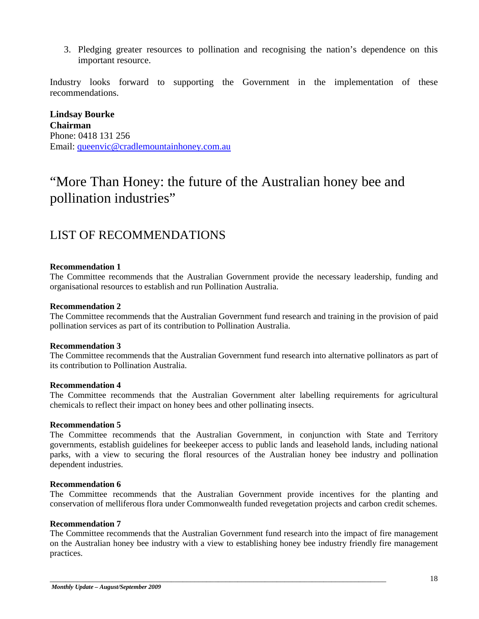3. Pledging greater resources to pollination and recognising the nation's dependence on this important resource.

Industry looks forward to supporting the Government in the implementation of these recommendations.

**Lindsay Bourke Chairman** Phone: 0418 131 256 Email: [queenvic@cradlemountainhoney.com.au](mailto:queenvic@cradlemountainhoney.com.au)

# "More Than Honey: the future of the Australian honey bee and pollination industries"

# LIST OF RECOMMENDATIONS

#### **Recommendation 1**

The Committee recommends that the Australian Government provide the necessary leadership, funding and organisational resources to establish and run Pollination Australia.

#### **Recommendation 2**

The Committee recommends that the Australian Government fund research and training in the provision of paid pollination services as part of its contribution to Pollination Australia.

#### **Recommendation 3**

The Committee recommends that the Australian Government fund research into alternative pollinators as part of its contribution to Pollination Australia.

#### **Recommendation 4**

The Committee recommends that the Australian Government alter labelling requirements for agricultural chemicals to reflect their impact on honey bees and other pollinating insects.

#### **Recommendation 5**

The Committee recommends that the Australian Government, in conjunction with State and Territory governments, establish guidelines for beekeeper access to public lands and leasehold lands, including national parks, with a view to securing the floral resources of the Australian honey bee industry and pollination dependent industries.

#### **Recommendation 6**

The Committee recommends that the Australian Government provide incentives for the planting and conservation of melliferous flora under Commonwealth funded revegetation projects and carbon credit schemes.

#### **Recommendation 7**

The Committee recommends that the Australian Government fund research into the impact of fire management on the Australian honey bee industry with a view to establishing honey bee industry friendly fire management practices.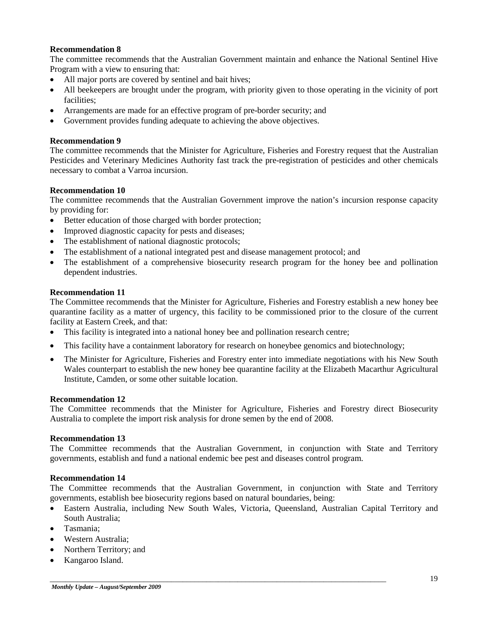#### **Recommendation 8**

The committee recommends that the Australian Government maintain and enhance the National Sentinel Hive Program with a view to ensuring that:

- All major ports are covered by sentinel and bait hives;
- All beekeepers are brought under the program, with priority given to those operating in the vicinity of port facilities;
- Arrangements are made for an effective program of pre-border security; and
- Government provides funding adequate to achieving the above objectives.

#### **Recommendation 9**

The committee recommends that the Minister for Agriculture, Fisheries and Forestry request that the Australian Pesticides and Veterinary Medicines Authority fast track the pre-registration of pesticides and other chemicals necessary to combat a Varroa incursion.

#### **Recommendation 10**

The committee recommends that the Australian Government improve the nation's incursion response capacity by providing for:

- Better education of those charged with border protection;
- Improved diagnostic capacity for pests and diseases;
- The establishment of national diagnostic protocols;
- The establishment of a national integrated pest and disease management protocol; and
- The establishment of a comprehensive biosecurity research program for the honey bee and pollination dependent industries.

#### **Recommendation 11**

The Committee recommends that the Minister for Agriculture, Fisheries and Forestry establish a new honey bee quarantine facility as a matter of urgency, this facility to be commissioned prior to the closure of the current facility at Eastern Creek, and that:

- This facility is integrated into a national honey bee and pollination research centre;
- This facility have a containment laboratory for research on honeybee genomics and biotechnology;
- The Minister for Agriculture, Fisheries and Forestry enter into immediate negotiations with his New South Wales counterpart to establish the new honey bee quarantine facility at the Elizabeth Macarthur Agricultural Institute, Camden, or some other suitable location.

#### **Recommendation 12**

The Committee recommends that the Minister for Agriculture, Fisheries and Forestry direct Biosecurity Australia to complete the import risk analysis for drone semen by the end of 2008.

#### **Recommendation 13**

The Committee recommends that the Australian Government, in conjunction with State and Territory governments, establish and fund a national endemic bee pest and diseases control program.

#### **Recommendation 14**

The Committee recommends that the Australian Government, in conjunction with State and Territory governments, establish bee biosecurity regions based on natural boundaries, being:

• Eastern Australia, including New South Wales, Victoria, Queensland, Australian Capital Territory and South Australia;

- Tasmania;
- Western Australia:
- Northern Territory; and
- Kangaroo Island.